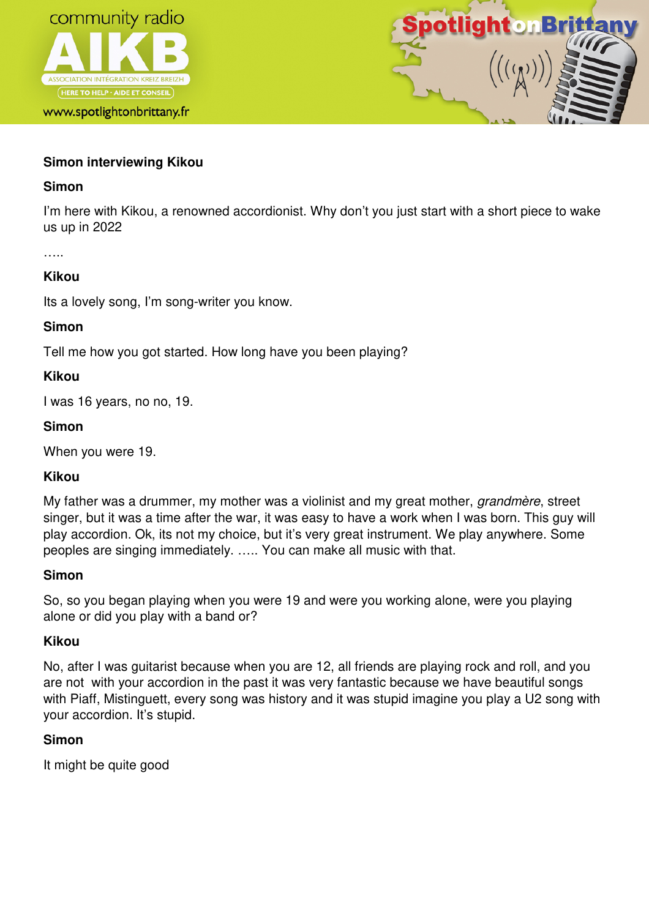

www.spotlightonbrittany.fr



## **Simon interviewing Kikou**

### **Simon**

I'm here with Kikou, a renowned accordionist. Why don't you just start with a short piece to wake us up in 2022

….

### **Kikou**

Its a lovely song, I'm song-writer you know.

#### **Simon**

Tell me how you got started. How long have you been playing?

### **Kikou**

I was 16 years, no no, 19.

### **Simon**

When you were 19.

### **Kikou**

My father was a drummer, my mother was a violinist and my great mother, *grandmère*, street singer, but it was a time after the war, it was easy to have a work when I was born. This guy will play accordion. Ok, its not my choice, but it's very great instrument. We play anywhere. Some peoples are singing immediately. ….. You can make all music with that.

#### **Simon**

So, so you began playing when you were 19 and were you working alone, were you playing alone or did you play with a band or?

### **Kikou**

No, after I was guitarist because when you are 12, all friends are playing rock and roll, and you are not with your accordion in the past it was very fantastic because we have beautiful songs with Piaff, Mistinguett, every song was history and it was stupid imagine you play a U2 song with your accordion. It's stupid.

### **Simon**

It might be quite good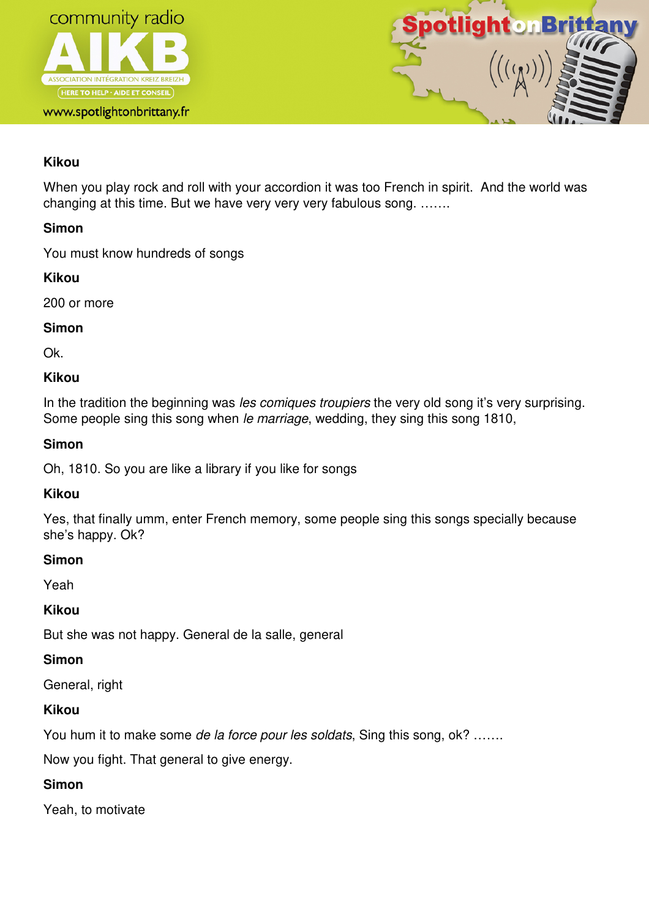



# **Kikou**

When you play rock and roll with your accordion it was too French in spirit. And the world was changing at this time. But we have very very very fabulous song. …….

## **Simon**

You must know hundreds of songs

# **Kikou**

200 or more

## **Simon**

Ok.

## **Kikou**

In the tradition the beginning was *les comiques troupiers* the very old song it's very surprising. Some people sing this song when le marriage, wedding, they sing this song 1810,

## **Simon**

Oh, 1810. So you are like a library if you like for songs

## **Kikou**

Yes, that finally umm, enter French memory, some people sing this songs specially because she's happy. Ok?

## **Simon**

Yeah

# **Kikou**

But she was not happy. General de la salle, general

## **Simon**

General, right

# **Kikou**

You hum it to make some de la force pour les soldats, Sing this song, ok? ......

Now you fight. That general to give energy.

# **Simon**

Yeah, to motivate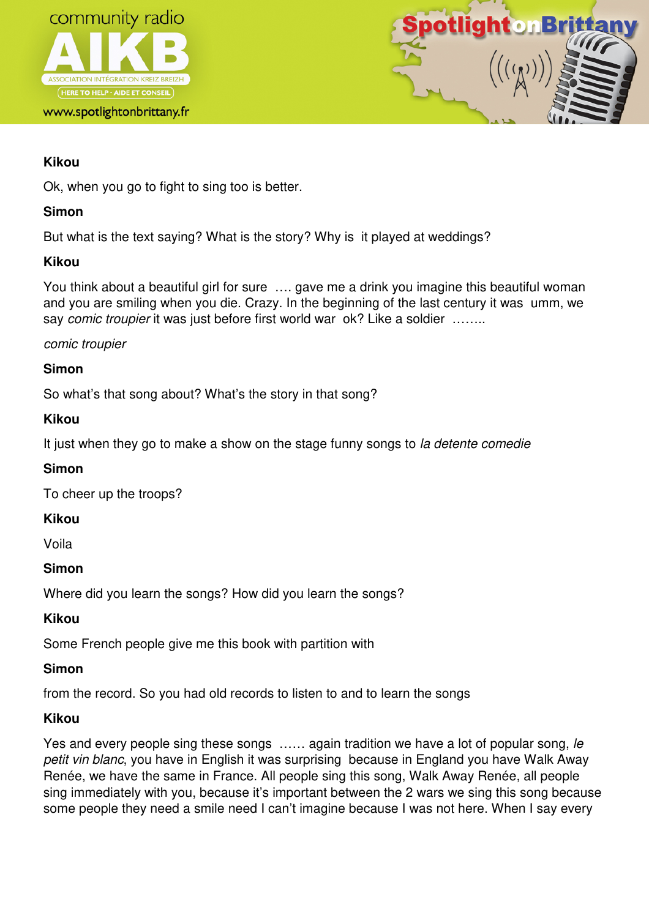



## **Kikou**

Ok, when you go to fight to sing too is better.

## **Simon**

But what is the text saying? What is the story? Why is it played at weddings?

### **Kikou**

You think about a beautiful girl for sure …. gave me a drink you imagine this beautiful woman and you are smiling when you die. Crazy. In the beginning of the last century it was umm, we say comic troupier it was just before first world war ok? Like a soldier .......

### comic troupier

## **Simon**

So what's that song about? What's the story in that song?

### **Kikou**

It just when they go to make a show on the stage funny songs to la detente comedie

## **Simon**

To cheer up the troops?

## **Kikou**

Voila

## **Simon**

Where did you learn the songs? How did you learn the songs?

## **Kikou**

Some French people give me this book with partition with

## **Simon**

from the record. So you had old records to listen to and to learn the songs

## **Kikou**

Yes and every people sing these songs ...... again tradition we have a lot of popular song, le petit vin blanc, you have in English it was surprising because in England you have Walk Away Renée, we have the same in France. All people sing this song, Walk Away Renée, all people sing immediately with you, because it's important between the 2 wars we sing this song because some people they need a smile need I can't imagine because I was not here. When I say every